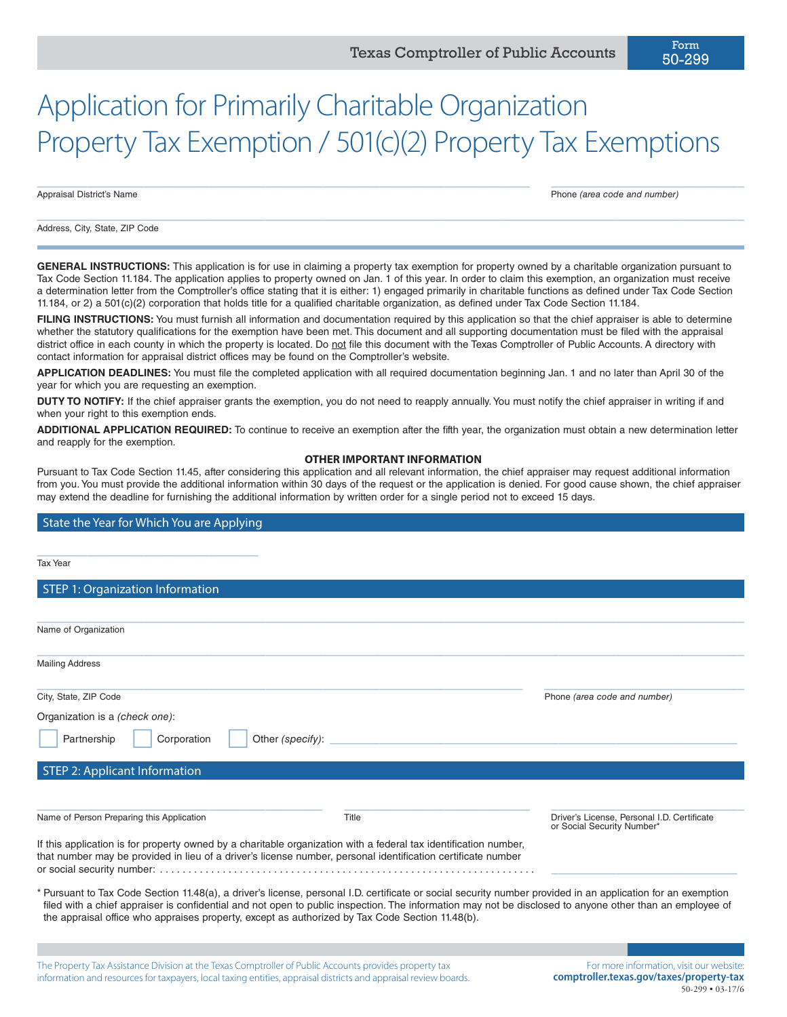$\_$  , and the set of the set of the set of the set of the set of the set of the set of the set of the set of the set of the set of the set of the set of the set of the set of the set of the set of the set of the set of th

 $\_$  , and the set of the set of the set of the set of the set of the set of the set of the set of the set of the set of the set of the set of the set of the set of the set of the set of the set of the set of the set of th

Appraisal District's Name Phone *(area code and number)*

50-299

Address, City, State, ZIP Code

GENERAL INSTRUCTIONS: This application is for use in claiming a property tax exemption for property owned by a charitable organization pursuant to Tax Code Section 11.184. The application applies to property owned on Jan. 1 of this year. In order to claim this exemption, an organization must receive a determination letter from the Comptroller's office stating that it is either: 1) engaged primarily in charitable functions as defined under Tax Code Section 11.184, or 2) a 501(c)(2) corporation that holds title for a qualified charitable organization, as defined under Tax Code Section 11.184.

FILING INSTRUCTIONS: You must furnish all information and documentation required by this application so that the chief appraiser is able to determine whether the statutory qualifications for the exemption have been met. This document and all supporting documentation must be filed with the appraisal district office in each county in which the property is located. Do not file this document with the Texas Comptroller of Public Accounts. A directory with contact information for appraisal district offices may be found on the Comptroller's website.

**APPLICATION DEADLINES:** You must file the completed application with all required documentation beginning Jan. 1 and no later than April 30 of the year for which you are requesting an exemption.

**DUTY TO NOTIFY:** If the chief appraiser grants the exemption, you do not need to reapply annually. You must notify the chief appraiser in writing if and when your right to this exemption ends.

**ADDITIONAL APPLICATION REQUIRED:** To continue to receive an exemption after the fifth year, the organization must obtain a new determination letter and reapply for the exemption.

#### **OTHER IMPORTANT INFORMATION**

Pursuant to Tax Code Section 11.45, after considering this application and all relevant information, the chief appraiser may request additional information from you. You must provide the additional information within 30 days of the request or the application is denied. For good cause shown, the chief appraiser may extend the deadline for furnishing the additional information by written order for a single period not to exceed 15 days.

### State the Year for Which You are Applying

| Tax Year                                                                                                                                                                                                                         |                  |                                                                                                                                                                                                                                                                                                                          |
|----------------------------------------------------------------------------------------------------------------------------------------------------------------------------------------------------------------------------------|------------------|--------------------------------------------------------------------------------------------------------------------------------------------------------------------------------------------------------------------------------------------------------------------------------------------------------------------------|
| <b>STEP 1: Organization Information</b>                                                                                                                                                                                          |                  |                                                                                                                                                                                                                                                                                                                          |
|                                                                                                                                                                                                                                  |                  |                                                                                                                                                                                                                                                                                                                          |
| Name of Organization                                                                                                                                                                                                             |                  |                                                                                                                                                                                                                                                                                                                          |
| <b>Mailing Address</b>                                                                                                                                                                                                           |                  |                                                                                                                                                                                                                                                                                                                          |
| City, State, ZIP Code                                                                                                                                                                                                            |                  | Phone (area code and number)                                                                                                                                                                                                                                                                                             |
| Organization is a (check one):                                                                                                                                                                                                   |                  |                                                                                                                                                                                                                                                                                                                          |
| Partnership<br>Corporation                                                                                                                                                                                                       | Other (specify): |                                                                                                                                                                                                                                                                                                                          |
| <b>STEP 2: Applicant Information</b>                                                                                                                                                                                             |                  |                                                                                                                                                                                                                                                                                                                          |
| Name of Person Preparing this Application                                                                                                                                                                                        | Title            | Driver's License. Personal I.D. Certificate<br>or Social Security Number*                                                                                                                                                                                                                                                |
| If this application is for property owned by a charitable organization with a federal tax identification number,<br>that number may be provided in lieu of a driver's license number, personal identification certificate number |                  |                                                                                                                                                                                                                                                                                                                          |
| the appraisal office who appraises property, except as authorized by Tax Code Section 11.48(b).                                                                                                                                  |                  | * Pursuant to Tax Code Section 11.48(a), a driver's license, personal I.D. certificate or social security number provided in an application for an exemption<br>filed with a chief appraiser is confidential and not open to public inspection. The information may not be disclosed to anyone other than an employee of |
|                                                                                                                                                                                                                                  |                  |                                                                                                                                                                                                                                                                                                                          |

The Property Tax Assistance Division at the Texas Comptroller of Public Accounts provides property tax information and resources for taxpayers, local taxing entities, appraisal districts and appraisal review boards.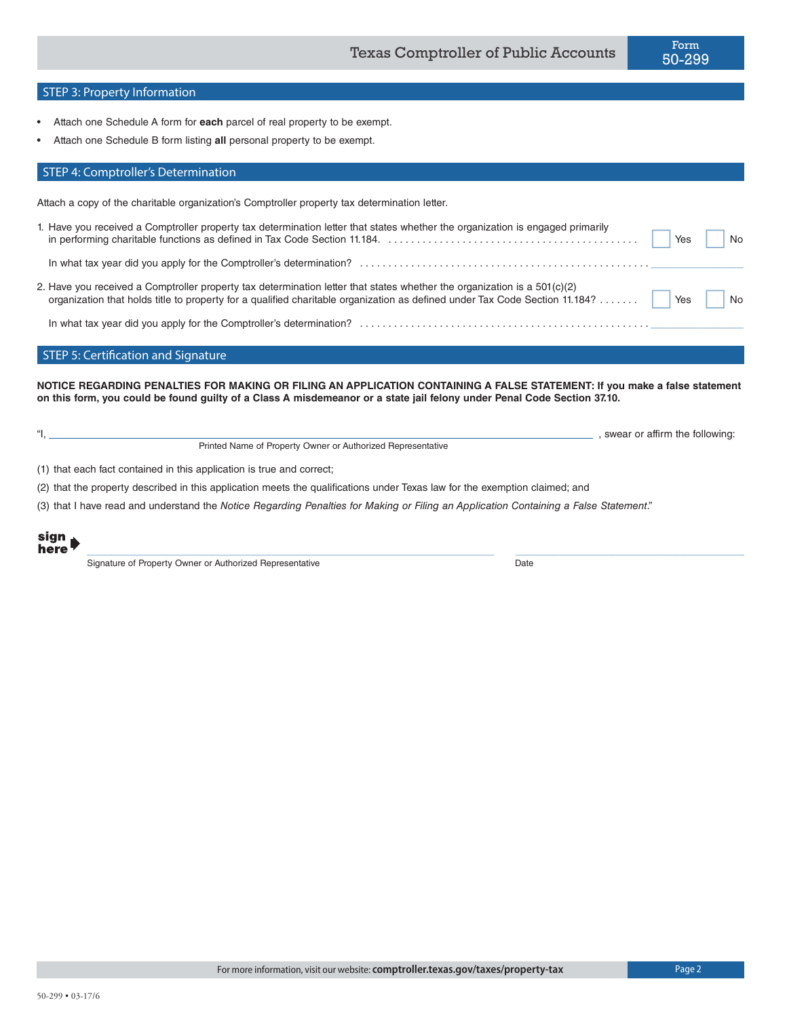## STEP 3: Property Information

- Attach one Schedule A form for **each** parcel of real property to be exempt.
- Attach one Schedule B form listing **all** personal property to be exempt.

### STEP 4: Comptroller's Determination

Attach a copy of the charitable organization's Comptroller property tax determination letter.

| 1. Have you received a Comptroller property tax determination letter that states whether the organization is engaged primarily                                                                                                                            |     | $\overline{\phantom{a}}$ No |
|-----------------------------------------------------------------------------------------------------------------------------------------------------------------------------------------------------------------------------------------------------------|-----|-----------------------------|
|                                                                                                                                                                                                                                                           |     |                             |
| 2. Have you received a Comptroller property tax determination letter that states whether the organization is a $501(c)(2)$<br>organization that holds title to property for a qualified charitable organization as defined under Tax Code Section 11.184? | Yes | No                          |

In what tax year did you apply for the Comptroller's determination? . \_\_\_\_\_\_\_\_\_\_\_\_\_

#### STEP 5: Certification and Signature

**NOTICE REGARDING PENALTIES FOR MAKING OR FILING AN APPLICATION CONTAINING A FALSE STATEMENT: If you make a false statement on this form, you could be found guilty of a Class A misdemeanor or a state jail felony under Penal Code Section 37.10.**

 $\_$  , and the set of the set of the set of the set of the set of the set of the set of the set of the set of the set of the set of the set of the set of the set of the set of the set of the set of the set of the set of th

"I, Printed Name of Property Owner or Authorized Representative

, swear or affirm the following:

(1) that each fact contained in this application is true and correct;

(2) that the property described in this application meets the qualifications under Texas law for the exemption claimed; and

(3) that I have read and understand the *Notice Regarding Penalties for Making or Filing an Application Containing a False Statement*."

sign here

Signature of Property Owner or Authorized Representative **Date** Date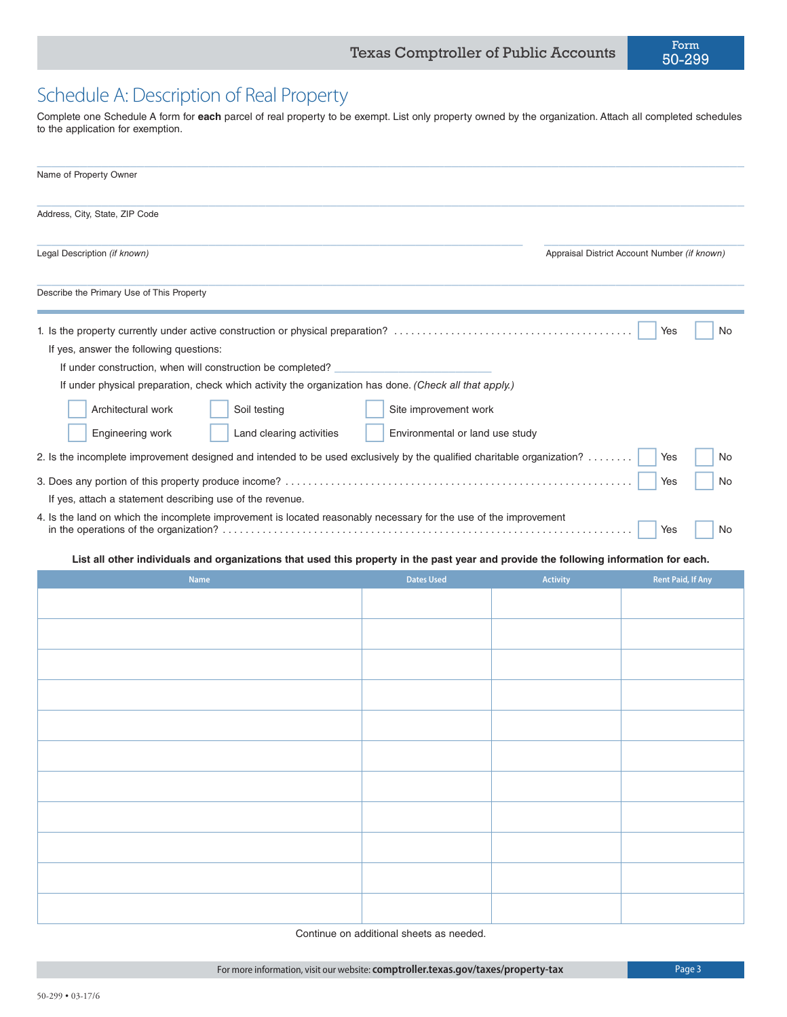# Schedule A: Description of Real Property

Complete one Schedule A form for **each** parcel of real property to be exempt. List only property owned by the organization. Attach all completed schedules to the application for exemption.

| Name of Property Owner                                                                                                                                                                                                                                                                                                                                                                                                                                                                                                                                                                                              |                                                          |                 |                                                  |  |
|---------------------------------------------------------------------------------------------------------------------------------------------------------------------------------------------------------------------------------------------------------------------------------------------------------------------------------------------------------------------------------------------------------------------------------------------------------------------------------------------------------------------------------------------------------------------------------------------------------------------|----------------------------------------------------------|-----------------|--------------------------------------------------|--|
| Address, City, State, ZIP Code                                                                                                                                                                                                                                                                                                                                                                                                                                                                                                                                                                                      |                                                          |                 |                                                  |  |
| Legal Description (if known)                                                                                                                                                                                                                                                                                                                                                                                                                                                                                                                                                                                        |                                                          |                 | Appraisal District Account Number (if known)     |  |
| Describe the Primary Use of This Property                                                                                                                                                                                                                                                                                                                                                                                                                                                                                                                                                                           |                                                          |                 |                                                  |  |
| If yes, answer the following questions:<br>If under construction, when will construction be completed?<br>If under physical preparation, check which activity the organization has done. (Check all that apply.)<br>Architectural work<br>Soil testing<br>Engineering work<br>Land clearing activities<br>2. Is the incomplete improvement designed and intended to be used exclusively by the qualified charitable organization?<br>If yes, attach a statement describing use of the revenue.<br>4. Is the land on which the incomplete improvement is located reasonably necessary for the use of the improvement | Site improvement work<br>Environmental or land use study |                 | Yes<br>No<br>Yes<br>No<br>Yes<br>No<br>Yes<br>No |  |
| List all other individuals and organizations that used this property in the past year and provide the following information for each.<br><b>Name</b>                                                                                                                                                                                                                                                                                                                                                                                                                                                                | <b>Dates Used</b>                                        | <b>Activity</b> | <b>Rent Paid, If Any</b>                         |  |
|                                                                                                                                                                                                                                                                                                                                                                                                                                                                                                                                                                                                                     |                                                          |                 |                                                  |  |
|                                                                                                                                                                                                                                                                                                                                                                                                                                                                                                                                                                                                                     |                                                          |                 |                                                  |  |
|                                                                                                                                                                                                                                                                                                                                                                                                                                                                                                                                                                                                                     |                                                          |                 |                                                  |  |
|                                                                                                                                                                                                                                                                                                                                                                                                                                                                                                                                                                                                                     |                                                          |                 |                                                  |  |

| the control of the control of the control of the control of the control of the control of the control of the control of the control of the control of the control of the control of the control of the control of the control |  |  |
|-------------------------------------------------------------------------------------------------------------------------------------------------------------------------------------------------------------------------------|--|--|
|                                                                                                                                                                                                                               |  |  |
|                                                                                                                                                                                                                               |  |  |
| the contract of the contract of the contract of the contract of the contract of the                                                                                                                                           |  |  |
|                                                                                                                                                                                                                               |  |  |

Continue on additional sheets as needed.